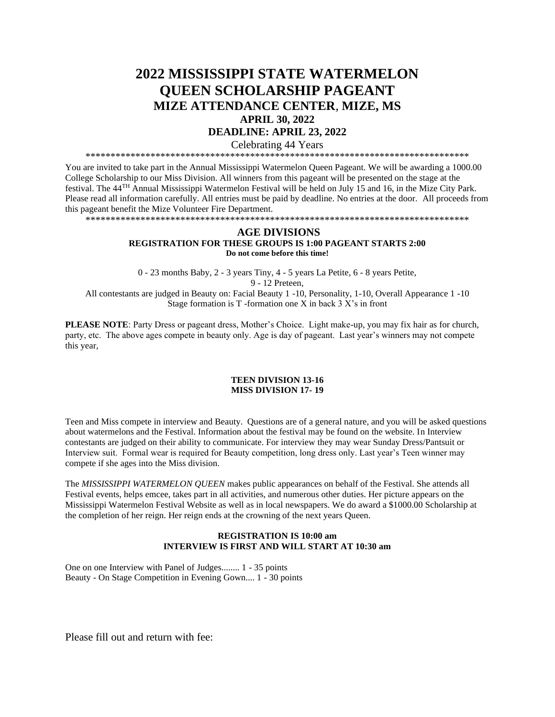# **2022 MISSISSIPPI STATE WATERMELON QUEEN SCHOLARSHIP PAGEANT MIZE ATTENDANCE CENTER**, **MIZE, MS APRIL 30, 2022**

### **DEADLINE: APRIL 23, 2022**

Celebrating 44 Years

\*\*\*\*\*\*\*\*\*\*\*\*\*\*\*\*\*\*\*\*\*\*\*\*\*\*\*\*\*\*\*\*\*\*\*\*\*\*\*\*\*\*\*\*\*\*\*\*\*\*\*\*\*\*\*\*\*\*\*\*\*\*\*\*\*\*\*\*\*\*\*\*\*\*\*\*\*

You are invited to take part in the Annual Mississippi Watermelon Queen Pageant. We will be awarding a 1000.00 College Scholarship to our Miss Division. All winners from this pageant will be presented on the stage at the festival. The 44TH Annual Mississippi Watermelon Festival will be held on July 15 and 16, in the Mize City Park. Please read all information carefully. All entries must be paid by deadline. No entries at the door. All proceeds from this pageant benefit the Mize Volunteer Fire Department.

\*\*\*\*\*\*\*\*\*\*\*\*\*\*\*\*\*\*\*\*\*\*\*\*\*\*\*\*\*\*\*\*\*\*\*\*\*\*\*\*\*\*\*\*\*\*\*\*\*\*\*\*\*\*\*\*\*\*\*\*\*\*\*\*\*\*\*\*\*\*\*\*\*\*\*\*\*

#### **AGE DIVISIONS REGISTRATION FOR THESE GROUPS IS 1:00 PAGEANT STARTS 2:00 Do not come before this time!**

0 - 23 months Baby, 2 - 3 years Tiny, 4 - 5 years La Petite, 6 - 8 years Petite, 9 - 12 Preteen,

All contestants are judged in Beauty on: Facial Beauty 1 -10, Personality, 1-10, Overall Appearance 1 -10 Stage formation is T -formation one X in back 3 X's in front

**PLEASE NOTE**: Party Dress or pageant dress, Mother's Choice. Light make-up, you may fix hair as for church, party, etc. The above ages compete in beauty only. Age is day of pageant. Last year's winners may not compete this year,

#### **TEEN DIVISION 13-16 MISS DIVISION 17- 19**

Teen and Miss compete in interview and Beauty. Questions are of a general nature, and you will be asked questions about watermelons and the Festival. Information about the festival may be found on the website. In Interview contestants are judged on their ability to communicate. For interview they may wear Sunday Dress/Pantsuit or Interview suit. Formal wear is required for Beauty competition, long dress only. Last year's Teen winner may compete if she ages into the Miss division.

The *MISSISSIPPI WATERMELON QUEEN* makes public appearances on behalf of the Festival. She attends all Festival events, helps emcee, takes part in all activities, and numerous other duties. Her picture appears on the Mississippi Watermelon Festival Website as well as in local newspapers. We do award a \$1000.00 Scholarship at the completion of her reign. Her reign ends at the crowning of the next years Queen.

#### **REGISTRATION IS 10:00 am INTERVIEW IS FIRST AND WILL START AT 10:30 am**

One on one Interview with Panel of Judges........ 1 - 35 points Beauty - On Stage Competition in Evening Gown.... 1 - 30 points

Please fill out and return with fee: